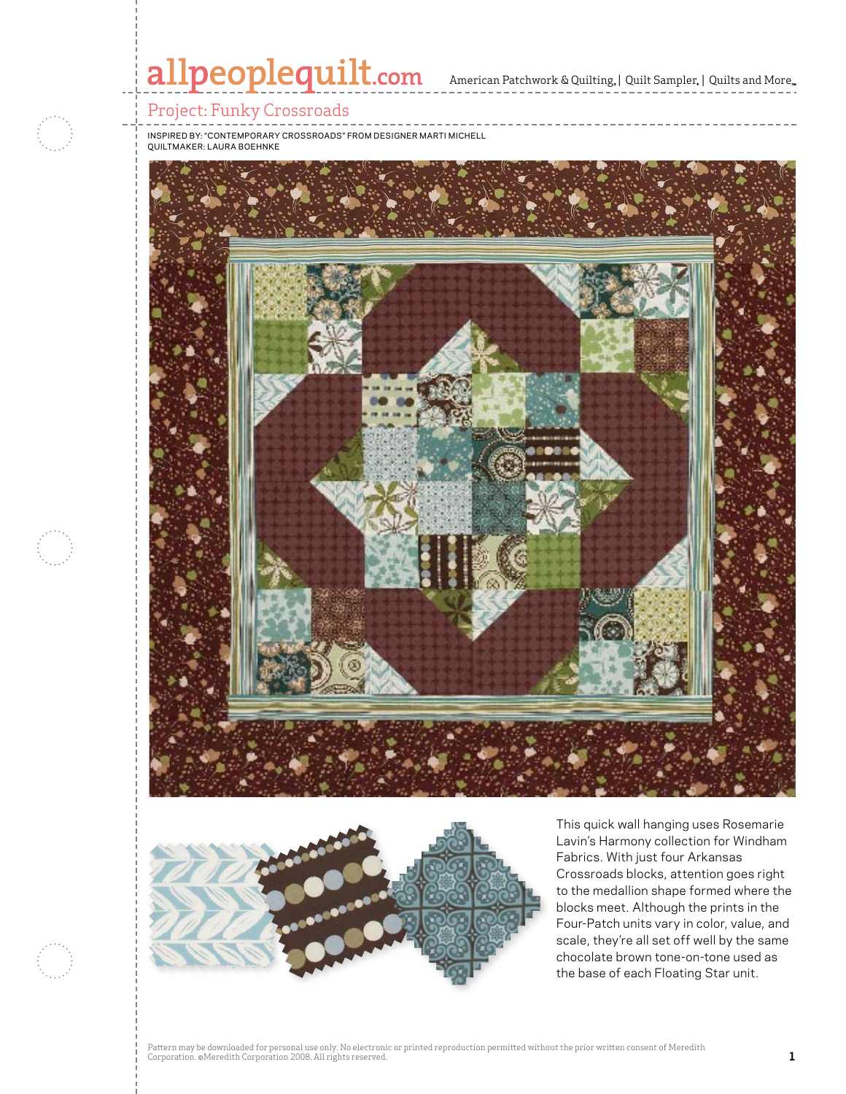# allpeoplequilt.com American Patchwork & Quilting, | Quilt Sampler, | Quilts and More..

#### Project: Funky Crossroads

Inspired by: "Contemporary Crossroads" From Designer Marti Michell Quiltmaker: Laura Boehnke





This quick wall hanging uses Rosemarie Lavin's Harmony collection for Windham Fabrics. With just four Arkansas Crossroads blocks, attention goes right to the medallion shape formed where the blocks meet. Although the prints in the Four-Patch units vary in color, value, and scale, they're all set off well by the same chocolate brown tone-on-tone used as the base of each Floating Star unit.

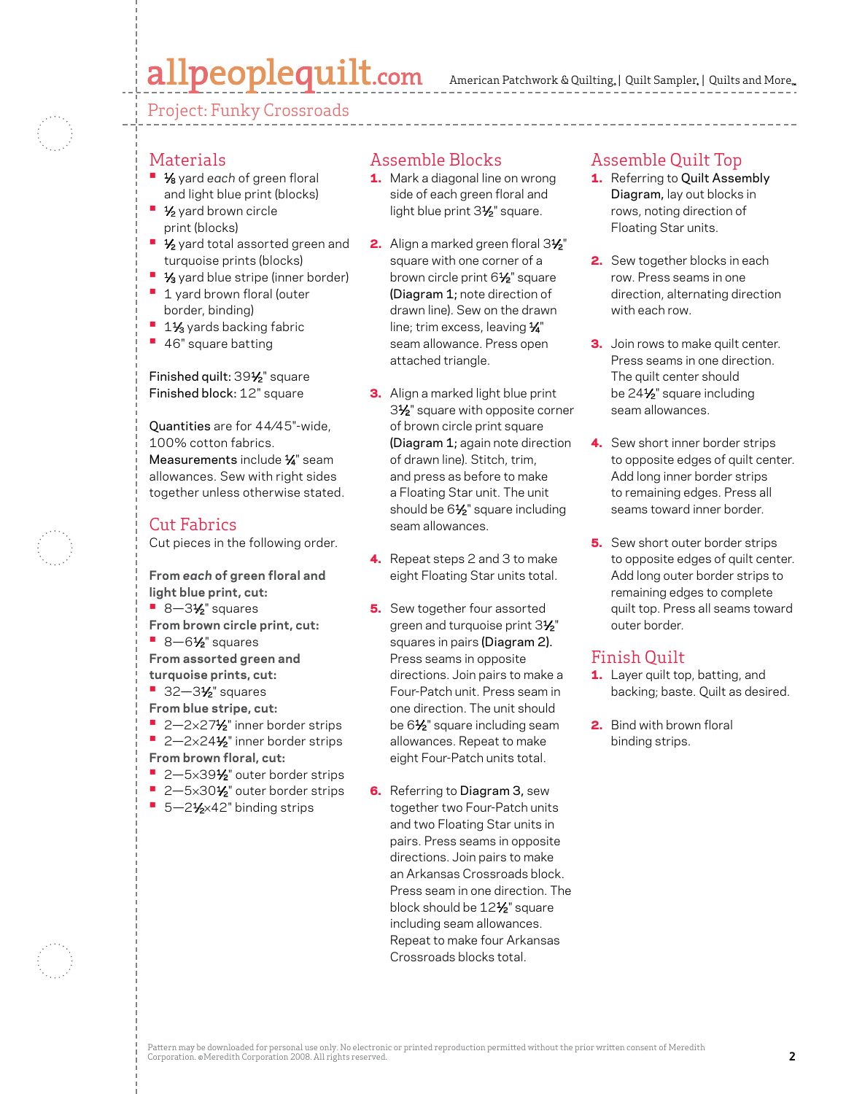## allpeoplequilt.com

American Patchwork & Quilting, | Quilt Sampler, | Quilts and More...

Project: Funky Crossroads

#### Materials

- **1⁄8** yard each of green floral and light blue print (blocks)
- 1⁄2 yard brown circle print (blocks)
- **1/<sub>2</sub>** yard total assorted green and turquoise prints (blocks)
- <sup>1</sup> 1/<sub>3</sub> yard blue stripe (inner border)
- **1** 1 yard brown floral (outer border, binding)
- <sup>1</sup> 1<sup>1</sup>/<sub>3</sub> yards backing fabric
- **•**  46" square batting

Finished quilt: 391/2" square Finished block: 12" square

Quantities are for 44⁄45"-wide, 100% cotton fabrics. Measurements include 1/4" seam allowances. Sew with right sides together unless otherwise stated.

#### Cut Fabrics

Cut pieces in the following order.

**From** *each* **of green floral and light blue print, cut: •** 8-3<sup>1</sup>⁄<sub>2</sub>" squares **From brown circle print, cut: •** 8-6½" squares **From assorted green and turquoise prints, cut: •** 32-3<sup>1</sup>/<sub>2</sub>" squares **From blue stripe, cut:** ■ 2-2×27<sup>1</sup>/<sub>2</sub>" inner border strips ■ 2-2×24<sup>1</sup>/<sub>2</sub>" inner border strips **From brown floral, cut:**

- 2-5×39½" outer border strips
- 2-5×30½" outer border strips ■ 5-2<sup>1</sup>⁄<sub>2×42</sub>" binding strips

### Assemble Blocks

- 1. Mark a diagonal line on wrong side of each green floral and light blue print 3<sup>1/2</sup> square.
- 2. Align a marked green floral 31/2" square with one corner of a brown circle print 6<sup>1/2</sup> square (Diagram 1; note direction of drawn line). Sew on the drawn line; trim excess, leaving  $\frac{1}{4}$ " seam allowance. Press open attached triangle.
- **3.** Align a marked light blue print 3<sup>1/2</sup> square with opposite corner of brown circle print square (Diagram 1; again note direction of drawn line). Stitch, trim, and press as before to make a Floating Star unit. The unit should be 61⁄2" square including seam allowances.
- 4. Repeat steps 2 and 3 to make eight Floating Star units total.
- **5.** Sew together four assorted green and turquoise print 31⁄2" squares in pairs (Diagram 2). Press seams in opposite directions. Join pairs to make a Four-Patch unit. Press seam in one direction. The unit should be 6<sup>1/2</sup> square including seam allowances. Repeat to make eight Four-Patch units total.
- **6.** Referring to Diagram 3, sew together two Four-Patch units and two Floating Star units in pairs. Press seams in opposite directions. Join pairs to make an Arkansas Crossroads block. Press seam in one direction. The block should be 12<sup>1</sup>/<sub>2</sub>" square including seam allowances. Repeat to make four Arkansas Crossroads blocks total.

#### Assemble Quilt Top

- 1. Referring to Quilt Assembly Diagram, lay out blocks in rows, noting direction of Floating Star units.
- 2. Sew together blocks in each row. Press seams in one direction, alternating direction with each row.
- **3.** Join rows to make quilt center. Press seams in one direction. The quilt center should be 241⁄2" square including seam allowances.
- 4. Sew short inner border strips to opposite edges of quilt center. Add long inner border strips to remaining edges. Press all seams toward inner border.
- **5.** Sew short outer border strips to opposite edges of quilt center. Add long outer border strips to remaining edges to complete quilt top. Press all seams toward outer border.

#### Finish Quilt

- 1. Layer quilt top, batting, and backing; baste. Quilt as desired.
- **2.** Bind with brown floral binding strips.